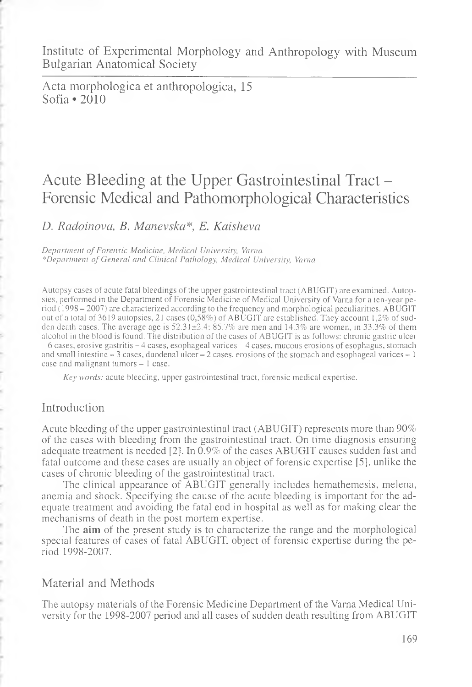Institute of Experimental Morphology and Anthropology with Museum Bulgarian Anatomical Society

Acta morphologica et anthropologica, 15 Sofia  $\cdot$  2010

# Acute Bleeding at the Upper Gastrointestinal Tract – Forensic Medical and Pathomorphological Characteristics

*I). Radoinova, B. Mane v ska\*, E. Kaisheva*

*Department of Forensic Medicine, Medical University, Varna \*Department of General and Clinical Pathology, Medical University, Varna*

Autopsy cases of acute fatal bleedings of the upper gastrointestinal tract (ABUGIT) are examined. Autopsies, performed in the Department of Forensic Medicine of Medical University of Varna for a ten-year period (1998-2007) are characterized according to the frequency and morphological peculiarities. ABUGIT out of a total of 3619 autopsies, 21 cases (0,58%) of ABUGIT are established. They account 1,2% of sudden death cases. The average age is  $52.31 \pm 2.4$ ;  $85.7\%$  are men and  $14.3\%$  are women, in 33.3% of them alcohol in the blood is found. The distribution of the cases of ABUGIT is as follows: chronic gastric ulcer - 6 cases, erosive gastritis - 4 cases, esophageal varices - 4 cases, mucous erosions of esophagus, stomach and small intestine - 3 cases, duodenal ulcer - 2 cases, erosions of the stomach and esophageal varices - 1 case and malignant tumors  $-1$  case.

*Key words:* acute bleeding, upper gastrointestinal tract, forensic medical expertise.

# Introduction

Acute bleeding of the upper gastrointestinal tract (ABUGIT) represents more than 90% of the cases with bleeding from the gastrointestinal tract. On time diagnosis ensuring adequate treatment is needed [2]. In 0.9% of the cases ABUGIT causes sudden fast and fatal outcome and these cases are usually an object of forensic expertise [5], unlike the cases of chronic bleeding of the gastrointestinal tract.

The clinical appearance of ABUGIT generally includes hemathemesis, melena, anemia and shock. Specifying the cause of the acute bleeding is important for the adequate treatment and avoiding the fatal end in hospital as well as for making clear the mechanisms of death in the post mortem expertise.

The **aim** of the present study is to characterize the range and the morphological special features of cases of fatal ABUGIT, object of forensic expertise during the period 1998-2007.

# Material and Methods

The autopsy materials of the Forensic Medicine Department of the Varna Medical University for the 1998-2007 period and all cases of sudden death resulting from ABUGIT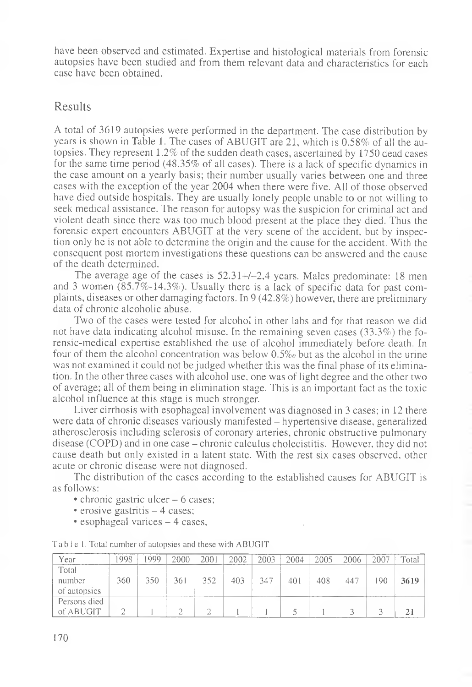have been observed and estimated. Expertise and histological materials from forensic autopsies have been studied and from them relevant data and characteristics for each case have been obtained.

#### Results

A total of 3619 autopsies were performed in the department. The case distribution by years is shown in Table 1. The cases of ABUGIT are 21, which is 0.58% of all the autopsies. They represent 1.2% of the sudden death cases, ascertained by 1750 dead cases for the same time period (48.35% of all cases). There is a lack of specific dynamics in the case amount on a yearly basis; their number usually varies between one and three cases with the exception of the year 2004 when there were five. All of those observed have died outside hospitals. They are usually lonely people unable to or not willing to seek medical assistance. The reason for autopsy was the suspicion for criminal act and violent death since there was too much blood present at the place they died. Thus the forensic expert encounters ABUGIT at the very scene of the accident, but by inspection only he is not able to determine the origin and the cause for the accident. With the consequent post mortem investigations these questions can be answered and the cause of the death determined.

The average age of the cases is  $52.31 + (-2.4$  years. Males predominate: 18 men and 3 women (85.7%-14.3%). Usually there is a lack of specific data for past complaints, diseases or other damaging factors. In 9 (42.8%) however, there are preliminary data of chronic alcoholic abuse.

Two of the cases were tested for alcohol in other labs and for that reason we did not have data indicating alcohol misuse. In the remaining seven cases  $(33.3\%)$  the forensic-medical expertise established the use of alcohol immediately before death. In four of them the alcohol concentration was below  $0.5\%$  but as the alcohol in the urine was not examined it could not be judged whether this was the final phase of its elimination. In the other three cases with alcohol use, one was of light degree and the other two of average; all of them being in elimination stage. This is an important fact as the toxic alcohol influence at this stage is much stronger.

Liver cirrhosis with esophageal involvement was diagnosed in 3 cases; in 12 there were data of chronic diseases variously manifested - hypertensive disease, generalized atherosclerosis including sclerosis of coronary arteries, chronic obstructive pulmonary disease (COPD) and in one case - chronic calculus cholecistitis. However, they did not cause death but only existed in a latent state. With the rest six cases observed, other acute or chronic disease were not diagnosed.

The distribution of the cases according to the established causes for ABUGIT is as follows:

- chronic gastric ulcer 6 cases;
- $\bullet$  erosive gastritis  $-4$  cases;
- esophageal varices 4 cases,

| Year         | 1998 | 1999 | 2000 | 2001 | 2002 | 2003 | 2004 | 2005 | 2006 | 2007 | $T_{\rm{otal}}$ |
|--------------|------|------|------|------|------|------|------|------|------|------|-----------------|
| Total        |      |      |      |      |      |      |      |      |      |      |                 |
| number       | 360  | 350  | 361  | 352  | 403  | 347  | 401  | 408  | 447  | 90   | 3619            |
| of autopsies |      |      |      |      |      |      |      |      |      |      |                 |
| Persons died |      |      |      |      |      |      |      |      |      |      |                 |
| of ABUGIT    |      |      |      |      |      |      |      |      |      |      |                 |

Table 1. Total number of autopsies and these with ABUGIT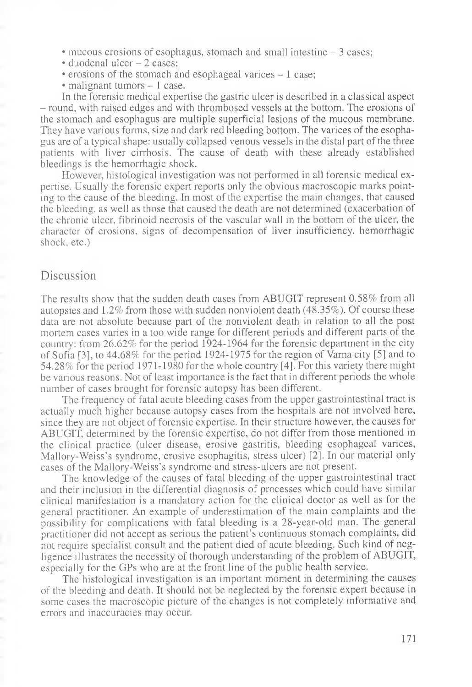- $\bullet$  mucous erosions of esophagus, stomach and small intestine  $-3$  cases;
- duodenal ulcer 2 cases;
- erosions of the stomach and esophageal varices 1 case;
- malignant tumors 1 case.

In the forensic medical expertise the gastric ulcer is described in a classical aspect - round, with raised edges and with thrombosed vessels at the bottom. The erosions of the stomach and esophagus are multiple superficial lesions of the mucous membrane. They have various forms, size and dark red bleeding bottom. The varices of the esophagus are of a typical shape: usually collapsed venous vessels in the distal part of the three patients with liver cirrhosis. The cause of death with these already established bleedings is the hemorrhagic shock.

However, histological investigation was not performed in all forensic medical expertise. Usually the forensic expert reports only the obvious macroscopic marks pointing to the cause of the bleeding. In most of the expertise the main changes, that caused the bleeding, as well as those that caused the death are not determined (exacerbation of the chronic ulcer, fibrinoid necrosis of the vascular wall in the bottom of the ulcer, the character of erosions, signs of decompensation of liver insufficiency, hemorrhagic shock, etc.)

#### Discussion

The results show that the sudden death cases from ABUGIT represent 0.58% from all autopsies and 1.2% from those with sudden nonviolent death (48.35%). Of course these data are not absolute because part of the nonviolent death in relation to all the post mortem cases varies in a too wide range for different periods and different parts of the country: from 26.62% for the period 1924-1964 for the forensic department in the city of Sofia [3], to 44.68% for the period 1924-1975 for the region of Varna city [5] and to 54.28% for the period 1971-1980 for the whole country [4]. For this variety there might be various reasons. Not of least importance is the fact that in different periods the whole number of cases brought for forensic autopsy has been different.

The frequency of fatal acute bleeding cases from the upper gastrointestinal tract is actually much higher because autopsy cases from the hospitals are not involved here, since they are not object of forensic expertise. In their structure however, the causes for ABUGIT, determined by the forensic expertise, do not differ from those mentioned in the clinical practice (ulcer disease, erosive gastritis, bleeding esophageal varices, Mallory-Weiss's syndrome, erosive esophagitis, stress ulcer) [2]. In our material only cases of the Mallory-Weiss's syndrome and stress-ulcers are not present.

The knowledge of the causes of fatal bleeding of the upper gastrointestinal tract and their inclusion in the differential diagnosis of processes which could have similar clinical manifestation is a mandatory action for the clinical doctor as well as for the general practitioner. An example of underestimation of the main complaints and the possibility for complications with fatal bleeding is a 28-year-old man. The general practitioner did not accept as serious the patient's continuous stomach complaints, did not require specialist consult and the patient died of acute bleeding. Such kind of negligence illustrates the necessity of thorough understanding of the problem of ABUGIT, especially for the GPs who are at the front line of the public health service.

The histological investigation is an important moment in determining the causes of the bleeding and death. It should not be neglected by the forensic expert because in some cases the macroscopic picture of the changes is not completely informative and errors and inaccuracies may occur.